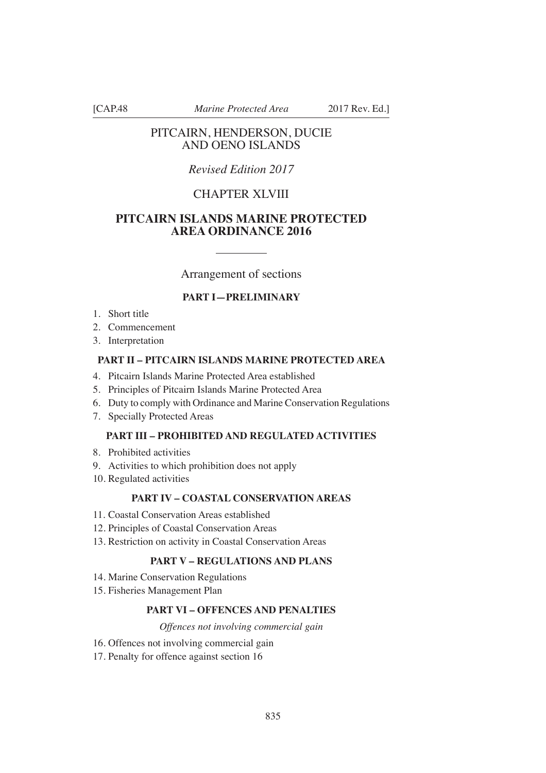[CAP.48 *Marine Protected Area* 2017 Rev. Ed.]

# PITCAIRN, HENDERSON, DUCIE AND OENO ISLANDS

# *Revised Edition 2017*

# CHAPTER XLVIII

# **PITCAIRN ISLANDS MARINE PROTECTED AREA ORDINANCE 2016**

Arrangement of sections

# **PART I—PRELIMINARY**

- 1. Short title
- 2. Commencement
- 3. Interpretation

## **PART II – PITCAIRN ISLANDS MARINE PROTECTED AREA**

- 4. Pitcairn Islands Marine Protected Area established
- 5. Principles of Pitcairn Islands Marine Protected Area
- 6. Duty to comply with Ordinance and Marine Conservation Regulations
- 7. Specially Protected Areas

#### **PART III – PROHIBITED AND REGULATED ACTIVITIES**

- 8. Prohibited activities
- 9. Activities to which prohibition does not apply
- 10. Regulated activities

# **PART IV – COASTAL CONSERVATION AREAS**

- 11. Coastal Conservation Areas established
- 12. Principles of Coastal Conservation Areas
- 13. Restriction on activity in Coastal Conservation Areas

## **PART V – REGULATIONS AND PLANS**

- 14. Marine Conservation Regulations
- 15. Fisheries Management Plan

## **PART VI – OFFENCES AND PENALTIES**

## *Offences not involving commercial gain*

- 16. Offences not involving commercial gain
- 17. Penalty for offence against section 16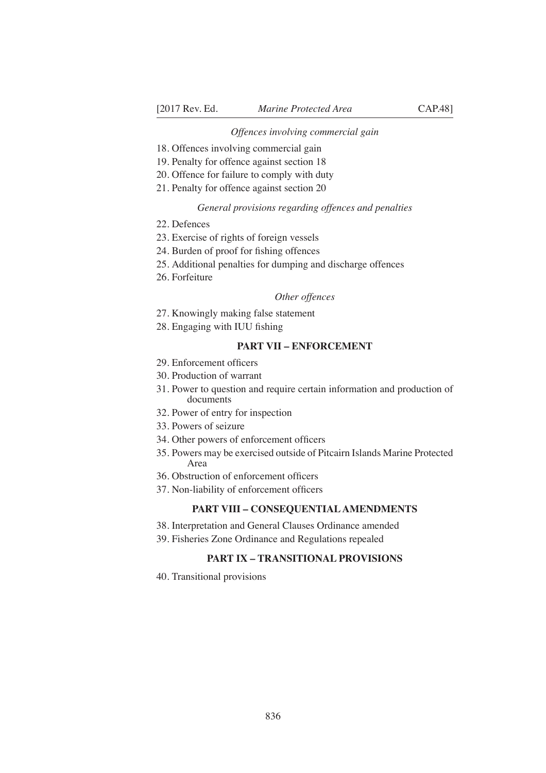#### *Offences involving commercial gain*

- 18. Offences involving commercial gain
- 19. Penalty for offence against section 18
- 20. Offence for failure to comply with duty
- 21. Penalty for offence against section 20

#### *General provisions regarding offences and penalties*

- 22. Defences
- 23. Exercise of rights of foreign vessels
- 24. Burden of proof for fishing offences
- 25. Additional penalties for dumping and discharge offences
- 26. Forfeiture

#### *Other offences*

- 27. Knowingly making false statement
- 28. Engaging with IUU fishing

## **PART VII – ENFORCEMENT**

- 29. Enforcement officers
- 30. Production of warrant
- 31. Power to question and require certain information and production of documents
- 32. Power of entry for inspection
- 33. Powers of seizure
- 34. Other powers of enforcement officers
- 35. Powers may be exercised outside of Pitcairn Islands Marine Protected Area
- 36. Obstruction of enforcement officers
- 37. Non-liability of enforcement officers

## **PART VIII – CONSEQUENTIAL AMENDMENTS**

- 38. Interpretation and General Clauses Ordinance amended
- 39. Fisheries Zone Ordinance and Regulations repealed

## **PART IX – TRANSITIONAL PROVISIONS**

40. Transitional provisions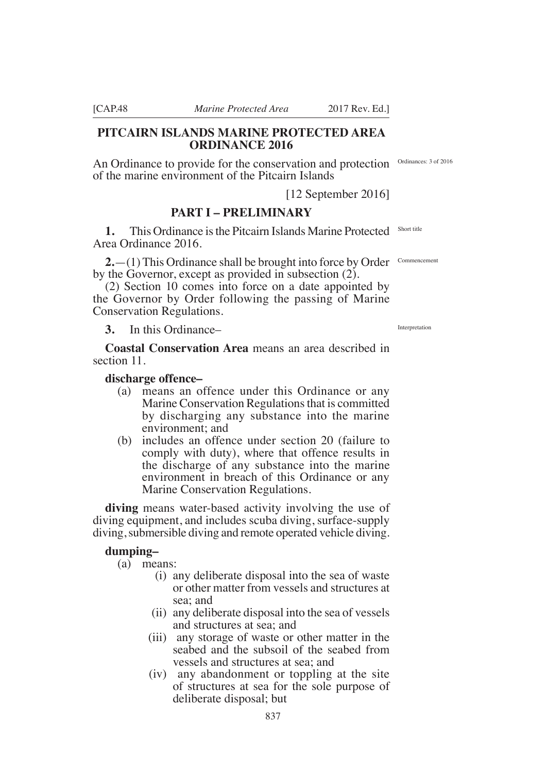# **PITCAIRN ISLANDS MARINE PROTECTED AREA ORDINANCE 2016**

An Ordinance to provide for the conservation and protection Ordinances: 3 of 2016 of the marine environment of the Pitcairn Islands

[12 September 2016]

# **PART I – PRELIMINARY**

**1.** This Ordinance is the Pitcairn Islands Marine Protected Short title Area Ordinance 2016.

**2.** - (1) This Ordinance shall be brought into force by Order Commencement by the Governor, except as provided in subsection (2).

(2) Section 10 comes into force on a date appointed by the Governor by Order following the passing of Marine Conservation Regulations.

**3.** In this Ordinance–

**Coastal Conservation Area** means an area described in section 11.

### **discharge offence–**

- (a) means an offence under this Ordinance or any Marine Conservation Regulations that is committed by discharging any substance into the marine environment; and
- (b) includes an offence under section 20 (failure to comply with duty), where that offence results in the discharge of any substance into the marine environment in breach of this Ordinance or any Marine Conservation Regulations.

**diving** means water-based activity involving the use of diving equipment, and includes scuba diving, surface-supply diving, submersible diving and remote operated vehicle diving.

## **dumping–**

(a) means:

- (i) any deliberate disposal into the sea of waste or other matter from vessels and structures at sea; and
- (ii) any deliberate disposal into the sea of vessels and structures at sea; and
- (iii) any storage of waste or other matter in the seabed and the subsoil of the seabed from vessels and structures at sea; and
- (iv) any abandonment or toppling at the site of structures at sea for the sole purpose of deliberate disposal; but

Interpretation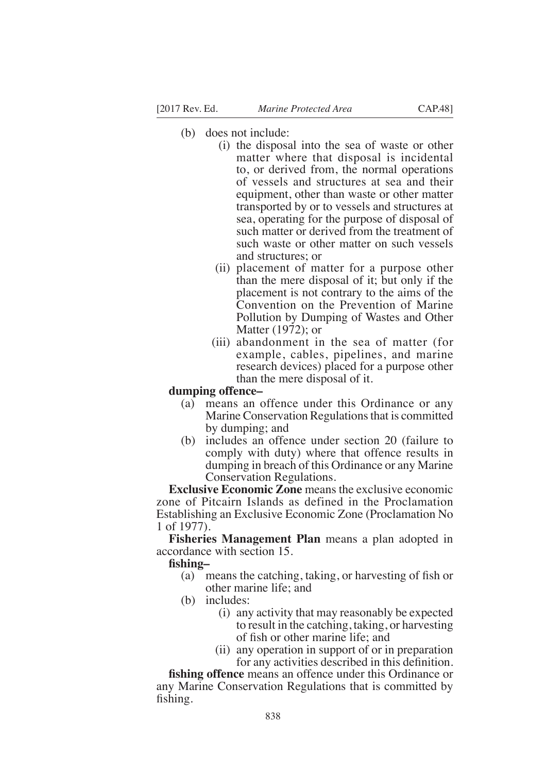- (b) does not include:
	- (i) the disposal into the sea of waste or other matter where that disposal is incidental to, or derived from, the normal operations of vessels and structures at sea and their equipment, other than waste or other matter transported by or to vessels and structures at sea, operating for the purpose of disposal of such matter or derived from the treatment of such waste or other matter on such vessels and structures; or
	- (ii) placement of matter for a purpose other than the mere disposal of it; but only if the placement is not contrary to the aims of the Convention on the Prevention of Marine Pollution by Dumping of Wastes and Other Matter (1972); or
	- (iii) abandonment in the sea of matter (for example, cables, pipelines, and marine research devices) placed for a purpose other than the mere disposal of it.

## **dumping offence–**

- (a) means an offence under this Ordinance or any Marine Conservation Regulations that is committed by dumping; and
- (b) includes an offence under section 20 (failure to comply with duty) where that offence results in dumping in breach of this Ordinance or any Marine Conservation Regulations.

**Exclusive Economic Zone** means the exclusive economic zone of Pitcairn Islands as defined in the Proclamation Establishing an Exclusive Economic Zone (Proclamation No 1 of 1977).

**Fisheries Management Plan** means a plan adopted in accordance with section 15.

#### fishing-

- (a) means the catching, taking, or harvesting of fish or other marine life; and
- (b) includes:
	- (i) any activity that may reasonably be expected to result in the catching, taking, or harvesting of fish or other marine life; and
	- (ii) any operation in support of or in preparation for any activities described in this definition.

**fishing offence** means an offence under this Ordinance or any Marine Conservation Regulations that is committed by fishing.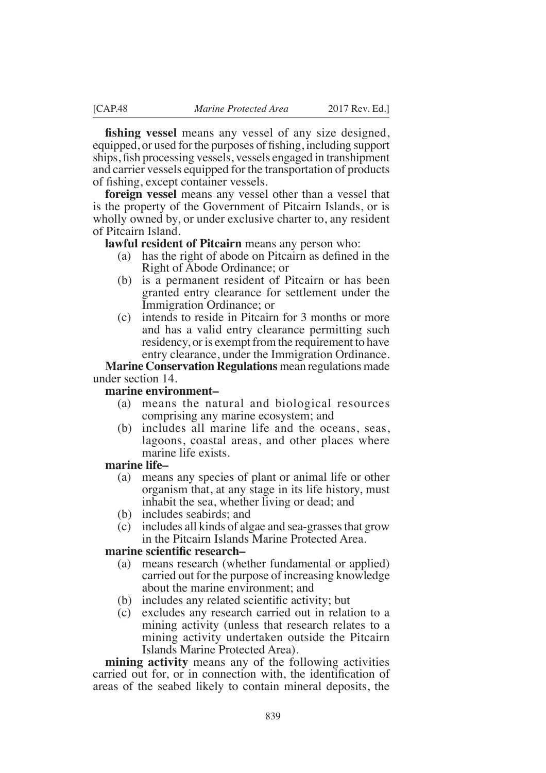**fishing vessel** means any vessel of any size designed, equipped, or used for the purposes of fishing, including support ships, fish processing vessels, vessels engaged in transhipment and carrier vessels equipped for the transportation of products of fishing, except container vessels.

**foreign vessel** means any vessel other than a vessel that is the property of the Government of Pitcairn Islands, or is wholly owned by, or under exclusive charter to, any resident of Pitcairn Island.

**lawful resident of Pitcairn** means any person who:

- (a) has the right of abode on Pitcairn as defined in the Right of Abode Ordinance; or
- (b) is a permanent resident of Pitcairn or has been granted entry clearance for settlement under the Immigration Ordinance; or
- (c) intends to reside in Pitcairn for 3 months or more and has a valid entry clearance permitting such residency, or is exempt from the requirement to have entry clearance, under the Immigration Ordinance.

**Marine Conservation Regulations** mean regulations made under section 14.

## **marine environment–**

- (a) means the natural and biological resources comprising any marine ecosystem; and
- (b) includes all marine life and the oceans, seas, lagoons, coastal areas, and other places where marine life exists.

## **marine life–**

- (a) means any species of plant or animal life or other organism that, at any stage in its life history, must inhabit the sea, whether living or dead; and
- (b) includes seabirds; and
- (c) includes all kinds of algae and sea-grasses that grow in the Pitcairn Islands Marine Protected Area.

## **marine scientific research–**

- (a) means research (whether fundamental or applied) carried out for the purpose of increasing knowledge about the marine environment; and
- $(b)$  includes any related scientific activity; but
- (c) excludes any research carried out in relation to a mining activity (unless that research relates to a mining activity undertaken outside the Pitcairn Islands Marine Protected Area).

**mining activity** means any of the following activities carried out for, or in connection with, the identification of areas of the seabed likely to contain mineral deposits, the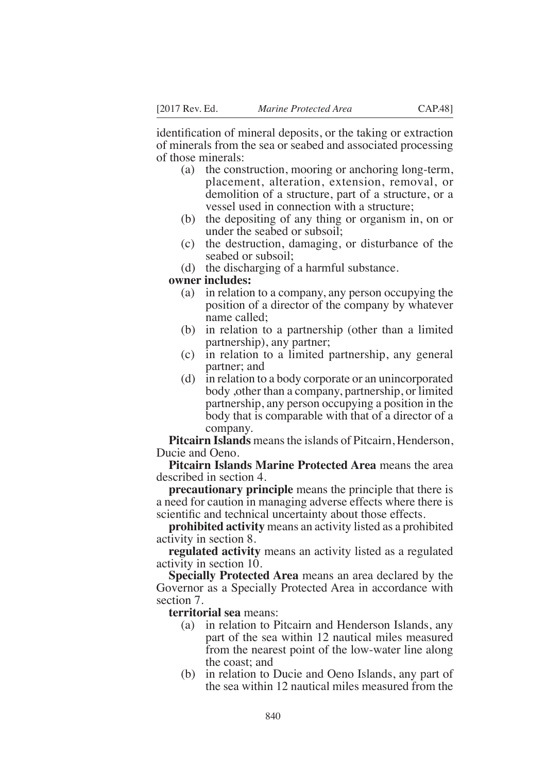identification of mineral deposits, or the taking or extraction of minerals from the sea or seabed and associated processing of those minerals:

- (a) the construction, mooring or anchoring long-term, placement, alteration, extension, removal, or demolition of a structure, part of a structure, or a vessel used in connection with a structure;
- (b) the depositing of any thing or organism in, on or under the seabed or subsoil;
- (c) the destruction, damaging, or disturbance of the seabed or subsoil;
- (d) the discharging of a harmful substance.

#### **owner includes:**

- (a) in relation to a company, any person occupying the position of a director of the company by whatever name called;
- (b) in relation to a partnership (other than a limited partnership), any partner;
- (c) in relation to a limited partnership, any general partner; and
- (d) in relation to a body corporate or an unincorporated body ,other than a company, partnership, or limited partnership, any person occupying a position in the body that is comparable with that of a director of a company.

**Pitcairn Islands** means the islands of Pitcairn, Henderson, Ducie and Oeno.

**Pitcairn Islands Marine Protected Area** means the area described in section 4.

**precautionary principle** means the principle that there is a need for caution in managing adverse effects where there is scientific and technical uncertainty about those effects.

**prohibited activity** means an activity listed as a prohibited activity in section 8.

**regulated activity** means an activity listed as a regulated activity in section 10.

**Specially Protected Area** means an area declared by the Governor as a Specially Protected Area in accordance with section 7.

**territorial sea** means:

- (a) in relation to Pitcairn and Henderson Islands, any part of the sea within 12 nautical miles measured from the nearest point of the low-water line along the coast; and
- (b) in relation to Ducie and Oeno Islands, any part of the sea within 12 nautical miles measured from the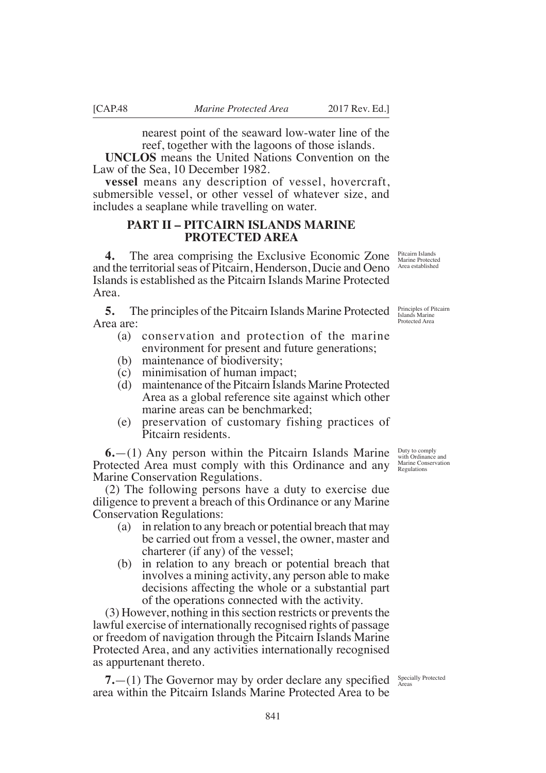nearest point of the seaward low-water line of the reef, together with the lagoons of those islands.

**UNCLOS** means the United Nations Convention on the Law of the Sea, 10 December 1982.

**vessel** means any description of vessel, hovercraft, submersible vessel, or other vessel of whatever size, and includes a seaplane while travelling on water.

# **PART II – PITCAIRN ISLANDS MARINE PROTECTED AREA**

**4.** The area comprising the Exclusive Economic Zone and the territorial seas of Pitcairn, Henderson, Ducie and Oeno Islands is established as the Pitcairn Islands Marine Protected Area.

**5.** The principles of the Pitcairn Islands Marine Protected **Principles of Pitcairn** Area are:

- (a) conservation and protection of the marine environment for present and future generations;
- (b) maintenance of biodiversity;
- (c) minimisation of human impact;
- (d) maintenance of the Pitcairn Islands Marine Protected Area as a global reference site against which other marine areas can be benchmarked;
- (e) preservation of customary fishing practices of Pitcairn residents.

**6.**—(1) Any person within the Pitcairn Islands Marine Protected Area must comply with this Ordinance and any Marine Conservation Regulations.

(2) The following persons have a duty to exercise due diligence to prevent a breach of this Ordinance or any Marine Conservation Regulations:

- (a) in relation to any breach or potential breach that may be carried out from a vessel, the owner, master and charterer (if any) of the vessel;
- (b) in relation to any breach or potential breach that involves a mining activity, any person able to make decisions affecting the whole or a substantial part of the operations connected with the activity.

(3) However, nothing in this section restricts or prevents the lawful exercise of internationally recognised rights of passage or freedom of navigation through the Pitcairn Islands Marine Protected Area, and any activities internationally recognised as appurtenant thereto.

**7.**  $-$ (1) The Governor may by order declare any specified  $\frac{\text{Specially Protocol}}{\text{Area}}$ area within the Pitcairn Islands Marine Protected Area to be

Protected Area

Pitcairn Islands Marine Protected Area established

Duty to comply with Ordinance and Marine Conservation Regulations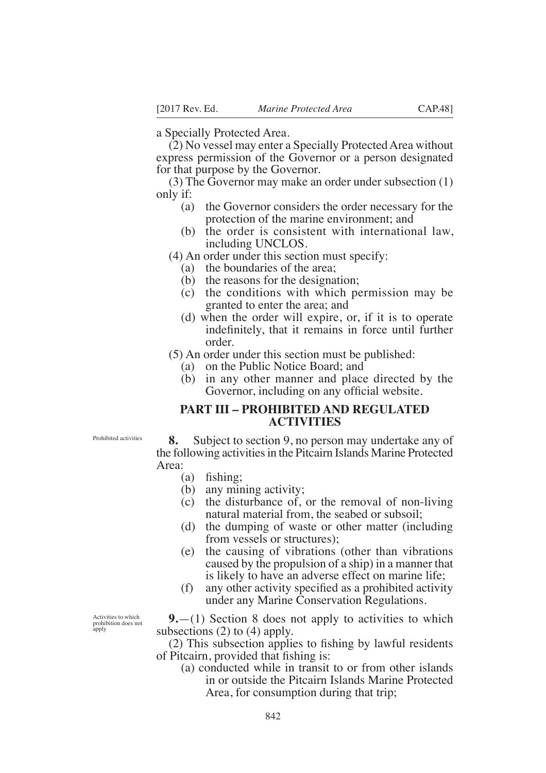a Specially Protected Area.

(2) No vessel may enter a Specially Protected Area without express permission of the Governor or a person designated for that purpose by the Governor.

(3) The Governor may make an order under subsection (1) only if:

- (a) the Governor considers the order necessary for the protection of the marine environment; and
- (b) the order is consistent with international law, including UNCLOS.
- (4) An order under this section must specify:
	- (a) the boundaries of the area;
	- (b) the reasons for the designation;
	- (c) the conditions with which permission may be granted to enter the area; and
	- (d) when the order will expire, or, if it is to operate indefinitely, that it remains in force until further order.

(5) An order under this section must be published:

- (a) on the Public Notice Board; and
- (b) in any other manner and place directed by the Governor, including on any official website.

# **PART III – PROHIBITED AND REGULATED ACTIVITIES**

Prohibited activities

**8.** Subject to section 9, no person may undertake any of the following activities in the Pitcairn Islands Marine Protected Area:

- $(a)$  fishing;
- (b) any mining activity;
- (c) the disturbance of, or the removal of non-living natural material from, the seabed or subsoil;
- (d) the dumping of waste or other matter (including from vessels or structures);
- (e) the causing of vibrations (other than vibrations caused by the propulsion of a ship) in a manner that is likely to have an adverse effect on marine life;
- $(f)$  any other activity specified as a prohibited activity under any Marine Conservation Regulations.

Activities to which prohibition does not apply

**9.**—(1) Section 8 does not apply to activities to which subsections (2) to (4) apply.

 $(2)$  This subsection applies to fishing by lawful residents of Pitcairn, provided that fishing is:

(a) conducted while in transit to or from other islands in or outside the Pitcairn Islands Marine Protected Area, for consumption during that trip;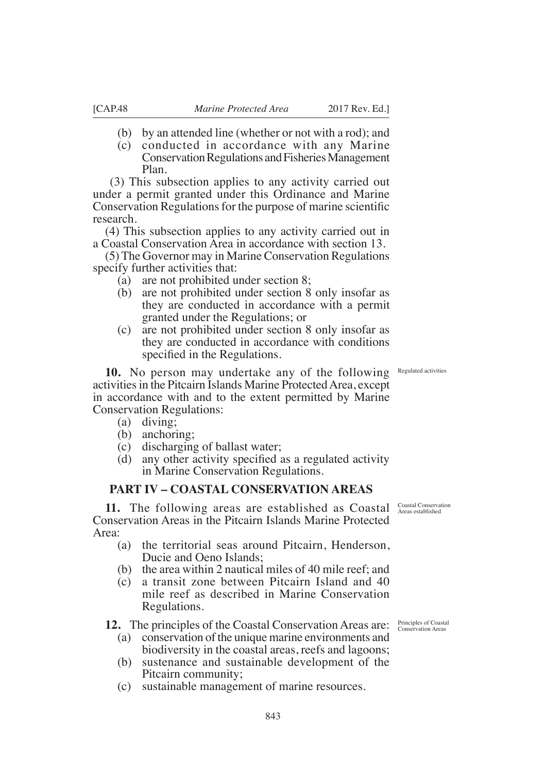- (b) by an attended line (whether or not with a rod); and
- (c) conducted in accordance with any Marine Conservation Regulations and Fisheries Management Plan.

 (3) This subsection applies to any activity carried out under a permit granted under this Ordinance and Marine Conservation Regulations for the purpose of marine scientific research.

(4) This subsection applies to any activity carried out in a Coastal Conservation Area in accordance with section 13.

(5) The Governor may in Marine Conservation Regulations specify further activities that:

- (a) are not prohibited under section 8;
- (b) are not prohibited under section 8 only insofar as they are conducted in accordance with a permit granted under the Regulations; or
- (c) are not prohibited under section 8 only insofar as they are conducted in accordance with conditions specified in the Regulations.

**10.** No person may undertake any of the following activities in the Pitcairn Islands Marine Protected Area, except in accordance with and to the extent permitted by Marine Conservation Regulations:

- (a) diving;
- (b) anchoring;
- (c) discharging of ballast water;
- (d) any other activity specified as a regulated activity in Marine Conservation Regulations.

# **PART IV – COASTAL CONSERVATION AREAS**

**11.** The following areas are established as Coastal Conservation Areas established Conservation Areas in the Pitcairn Islands Marine Protected Area:

- (a) the territorial seas around Pitcairn, Henderson, Ducie and Oeno Islands;
- (b) the area within 2 nautical miles of 40 mile reef; and
- (c) a transit zone between Pitcairn Island and 40 mile reef as described in Marine Conservation Regulations.

**12.** The principles of the Coastal Conservation Areas are:

- (a) conservation of the unique marine environments and biodiversity in the coastal areas, reefs and lagoons;
- (b) sustenance and sustainable development of the Pitcairn community;
- (c) sustainable management of marine resources.

Regulated activities

Principles of Coastal Conservation Areas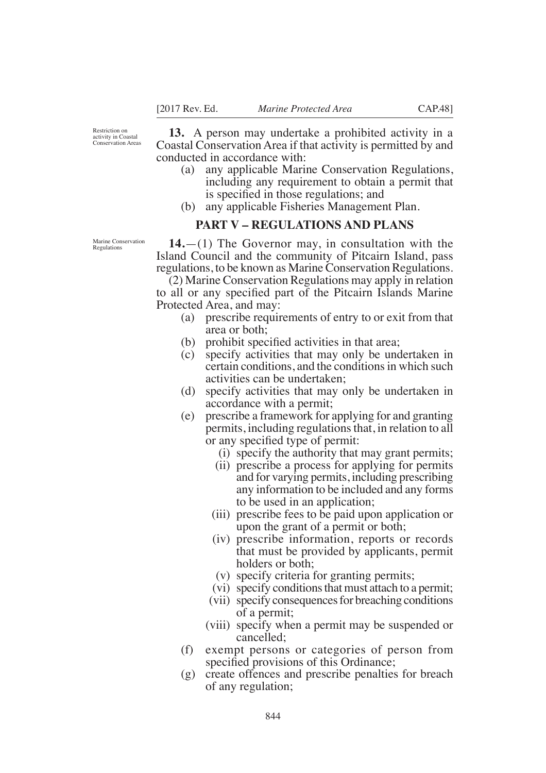Restriction on activity in Coastal Conservation Areas

**13.** A person may undertake a prohibited activity in a Coastal Conservation Area if that activity is permitted by and conducted in accordance with:

- (a) any applicable Marine Conservation Regulations, including any requirement to obtain a permit that is specified in those regulations; and
- (b) any applicable Fisheries Management Plan.

# **PART V – REGULATIONS AND PLANS**

**14.**—(1) The Governor may, in consultation with the Island Council and the community of Pitcairn Island, pass regulations, to be known as Marine Conservation Regulations.

(2) Marine Conservation Regulations may apply in relation to all or any specified part of the Pitcairn Islands Marine Protected Area, and may:

- (a) prescribe requirements of entry to or exit from that area or both;
- $(b)$  prohibit specified activities in that area;
- (c) specify activities that may only be undertaken in certain conditions, and the conditions in which such activities can be undertaken;
- (d) specify activities that may only be undertaken in accordance with a permit;
- (e) prescribe a framework for applying for and granting permits, including regulations that, in relation to all or any specified type of permit:
	- (i) specify the authority that may grant permits;
	- (ii) prescribe a process for applying for permits and for varying permits, including prescribing any information to be included and any forms to be used in an application;
	- (iii) prescribe fees to be paid upon application or upon the grant of a permit or both;
	- (iv) prescribe information, reports or records that must be provided by applicants, permit holders or both;
	- (v) specify criteria for granting permits;
	- (vi) specify conditions that must attach to a permit;
	- (vii) specify consequences for breaching conditions of a permit;
	- (viii) specify when a permit may be suspended or cancelled;
- (f) exempt persons or categories of person from specified provisions of this Ordinance;
- (g) create offences and prescribe penalties for breach of any regulation;

Marine Conservation Regulations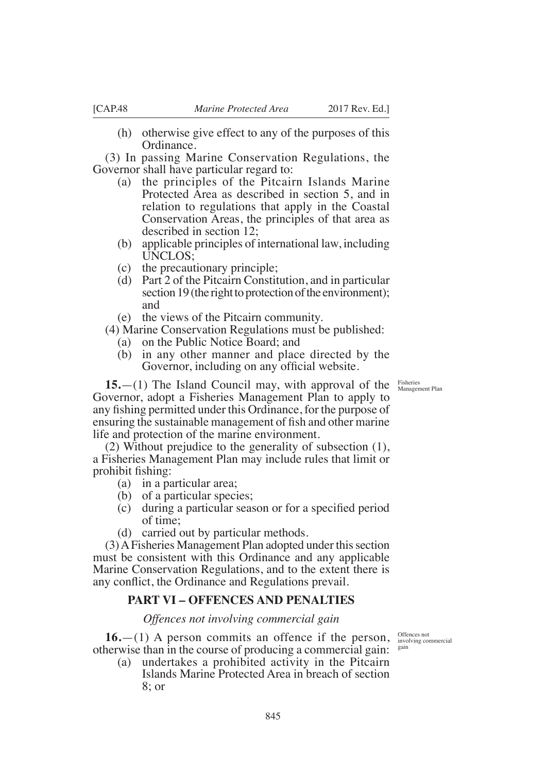(h) otherwise give effect to any of the purposes of this Ordinance.

(3) In passing Marine Conservation Regulations, the Governor shall have particular regard to:

- (a) the principles of the Pitcairn Islands Marine Protected Area as described in section 5, and in relation to regulations that apply in the Coastal Conservation Areas, the principles of that area as described in section 12;
- (b) applicable principles of international law, including UNCLOS;
- (c) the precautionary principle;
- (d) Part 2 of the Pitcairn Constitution, and in particular section 19 (the right to protection of the environment); and
- (e) the views of the Pitcairn community.
- (4) Marine Conservation Regulations must be published:
	- (a) on the Public Notice Board; and
	- (b) in any other manner and place directed by the Governor, including on any official website.

**15.**—(1) The Island Council may, with approval of the Governor, adopt a Fisheries Management Plan to apply to any fishing permitted under this Ordinance, for the purpose of ensuring the sustainable management of fish and other marine life and protection of the marine environment.

(2) Without prejudice to the generality of subsection (1), a Fisheries Management Plan may include rules that limit or prohibit fishing:

- (a) in a particular area;
- (b) of a particular species;
- (c) during a particular season or for a specified period of time;
- (d) carried out by particular methods.

(3) A Fisheries Management Plan adopted under this section must be consistent with this Ordinance and any applicable Marine Conservation Regulations, and to the extent there is any conflict, the Ordinance and Regulations prevail.

# **PART VI – OFFENCES AND PENALTIES**

*Offences not involving commercial gain*

**16.**—(1) A person commits an offence if the person, otherwise than in the course of producing a commercial gain: sain

(a) undertakes a prohibited activity in the Pitcairn Islands Marine Protected Area in breach of section 8; or

Offences not involving commercial

Fisheries Management Plan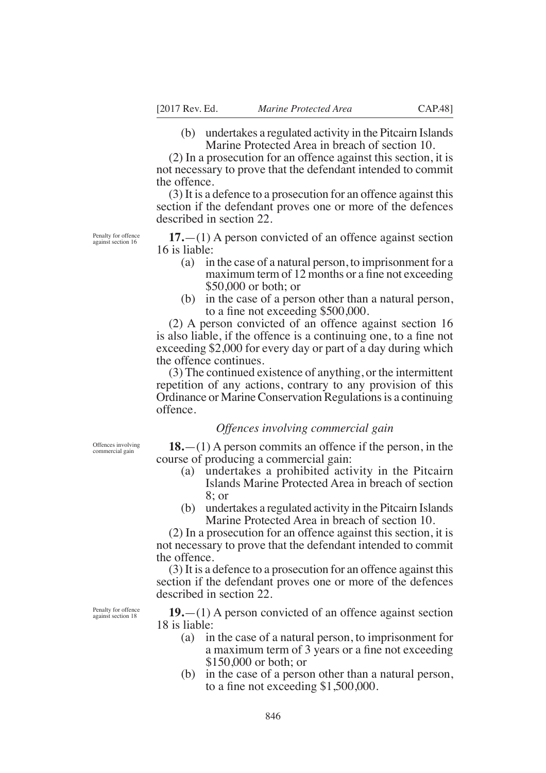(b) undertakes a regulated activity in the Pitcairn Islands Marine Protected Area in breach of section 10.

(2) In a prosecution for an offence against this section, it is not necessary to prove that the defendant intended to commit the offence.

(3) It is a defence to a prosecution for an offence against this section if the defendant proves one or more of the defences described in section 22.

Penalty for offence against section 16

**17.**—(1) A person convicted of an offence against section 16 is liable:

- (a) in the case of a natural person, to imprisonment for a maximum term of 12 months or a fine not exceeding  $$50,000$  or both; or
- (b) in the case of a person other than a natural person, to a fine not exceeding  $$500,000$ .

(2) A person convicted of an offence against section 16 is also liable, if the offence is a continuing one, to a fine not exceeding  $$2,000$  for every day or part of a day during which the offence continues.

(3) The continued existence of anything, or the intermittent repetition of any actions, contrary to any provision of this Ordinance or Marine Conservation Regulations is a continuing offence.

## *Offences involving commercial gain*

Offences involving commercial gain

**18.**—(1) A person commits an offence if the person, in the course of producing a commercial gain:

- (a) undertakes a prohibited activity in the Pitcairn Islands Marine Protected Area in breach of section 8; or
- (b) undertakes a regulated activity in the Pitcairn Islands Marine Protected Area in breach of section 10.

(2) In a prosecution for an offence against this section, it is not necessary to prove that the defendant intended to commit the offence.

(3) It is a defence to a prosecution for an offence against this section if the defendant proves one or more of the defences described in section 22.

**19.**—(1) A person convicted of an offence against section 18 is liable:

- (a) in the case of a natural person, to imprisonment for a maximum term of 3 years or a fine not exceeding  $$150,000$  or both: or
- (b) in the case of a person other than a natural person, to a fine not exceeding  $$1,500,000$ .

Penalty for offence against section 18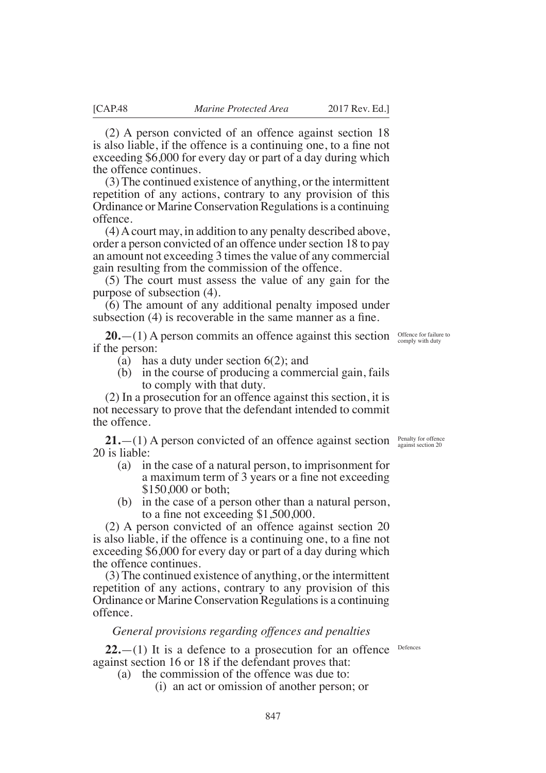(2) A person convicted of an offence against section 18 is also liable, if the offence is a continuing one, to a fine not exceeding  $$6,000$  for every day or part of a day during which the offence continues.

(3) The continued existence of anything, or the intermittent repetition of any actions, contrary to any provision of this Ordinance or Marine Conservation Regulations is a continuing offence.

(4) A court may, in addition to any penalty described above, order a person convicted of an offence under section 18 to pay an amount not exceeding 3 times the value of any commercial gain resulting from the commission of the offence.

(5) The court must assess the value of any gain for the purpose of subsection (4).

(6) The amount of any additional penalty imposed under subsection  $(4)$  is recoverable in the same manner as a fine.

**20.**—(1) A person commits an offence against this section  $\frac{\text{Office for failure to}}{\text{complex with duty}}$ if the person:

- (a) has a duty under section 6(2); and
- (b) in the course of producing a commercial gain, fails to comply with that duty.

(2) In a prosecution for an offence against this section, it is not necessary to prove that the defendant intended to commit the offence.

**21.** - (1) A person convicted of an offence against section *Penalty for offence against section* 20 20 is liable:

- (a) in the case of a natural person, to imprisonment for a maximum term of 3 years or a fine not exceeding  $$150,000$  or both:
- (b) in the case of a person other than a natural person, to a fine not exceeding  $$1,500,000$ .

(2) A person convicted of an offence against section 20 is also liable, if the offence is a continuing one, to a fine not exceeding  $$6,000$  for every day or part of a day during which the offence continues.

(3) The continued existence of anything, or the intermittent repetition of any actions, contrary to any provision of this Ordinance or Marine Conservation Regulations is a continuing offence.

## *General provisions regarding offences and penalties*

 $22$ .  $-$ (1) It is a defence to a prosecution for an offence Defences against section 16 or 18 if the defendant proves that:

- (a) the commission of the offence was due to:
	- (i) an act or omission of another person; or

847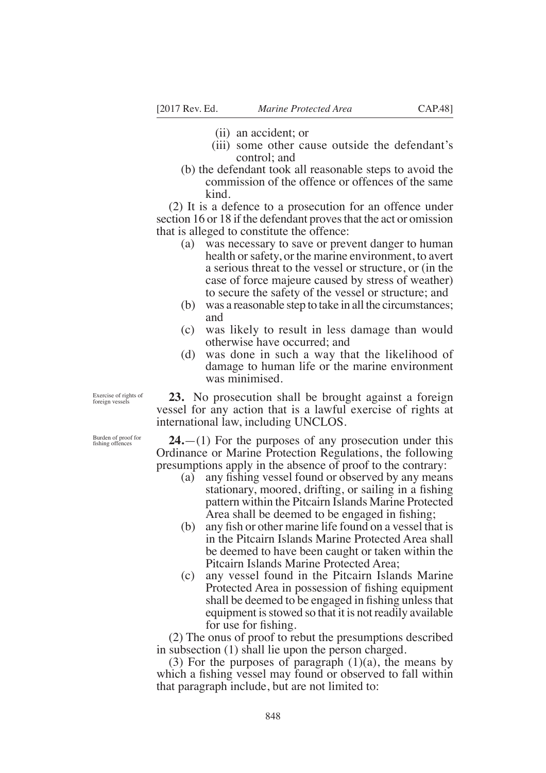- (ii) an accident; or
- (iii) some other cause outside the defendant's control; and
- (b) the defendant took all reasonable steps to avoid the commission of the offence or offences of the same kind.

(2) It is a defence to a prosecution for an offence under section 16 or 18 if the defendant proves that the act or omission that is alleged to constitute the offence:

- (a) was necessary to save or prevent danger to human health or safety, or the marine environment, to avert a serious threat to the vessel or structure, or (in the case of force majeure caused by stress of weather) to secure the safety of the vessel or structure; and
- (b) was a reasonable step to take in all the circumstances; and
- (c) was likely to result in less damage than would otherwise have occurred; and
- (d) was done in such a way that the likelihood of damage to human life or the marine environment was minimised.

**23.** No prosecution shall be brought against a foreign vessel for any action that is a lawful exercise of rights at international law, including UNCLOS.

**24.**—(1) For the purposes of any prosecution under this Ordinance or Marine Protection Regulations, the following presumptions apply in the absence of proof to the contrary:

- (a) any fishing vessel found or observed by any means stationary, moored, drifting, or sailing in a fishing pattern within the Pitcairn Islands Marine Protected Area shall be deemed to be engaged in fishing;
- (b) any fish or other marine life found on a vessel that is in the Pitcairn Islands Marine Protected Area shall be deemed to have been caught or taken within the Pitcairn Islands Marine Protected Area;
- (c) any vessel found in the Pitcairn Islands Marine Protected Area in possession of fishing equipment shall be deemed to be engaged in fishing unless that equipment is stowed so that it is not readily available for use for fishing.

(2) The onus of proof to rebut the presumptions described in subsection (1) shall lie upon the person charged.

(3) For the purposes of paragraph  $(1)(a)$ , the means by which a fishing vessel may found or observed to fall within that paragraph include, but are not limited to:

Exercise of rights of foreign vessels

Burden of proof for fishing offences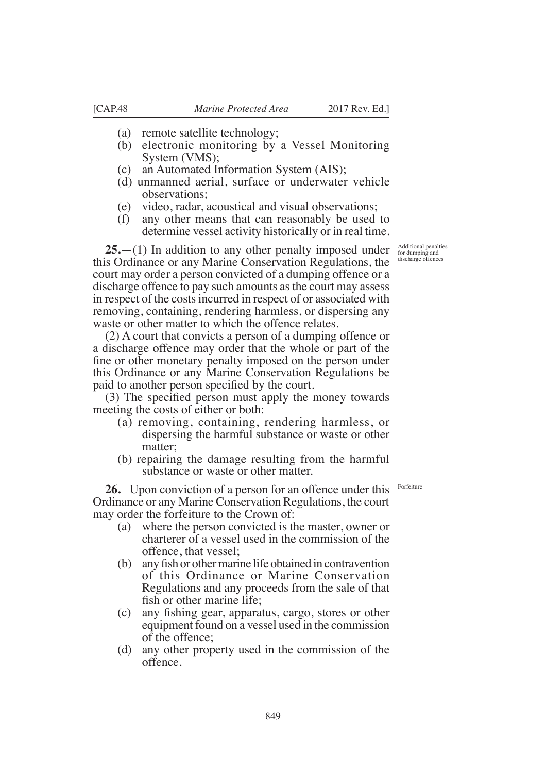- (a) remote satellite technology;
- (b) electronic monitoring by a Vessel Monitoring System (VMS);
- (c) an Automated Information System (AIS);
- (d) unmanned aerial, surface or underwater vehicle observations;
- (e) video, radar, acoustical and visual observations;
- (f) any other means that can reasonably be used to determine vessel activity historically or in real time.

**25.**—(1) In addition to any other penalty imposed under this Ordinance or any Marine Conservation Regulations, the court may order a person convicted of a dumping offence or a discharge offence to pay such amounts as the court may assess in respect of the costs incurred in respect of or associated with removing, containing, rendering harmless, or dispersing any waste or other matter to which the offence relates.

(2) A court that convicts a person of a dumping offence or a discharge offence may order that the whole or part of the fine or other monetary penalty imposed on the person under this Ordinance or any Marine Conservation Regulations be paid to another person specified by the court.

 $(3)$  The specified person must apply the money towards meeting the costs of either or both:

- (a) removing, containing, rendering harmless, or dispersing the harmful substance or waste or other matter;
- (b) repairing the damage resulting from the harmful substance or waste or other matter.

**26.** Upon conviction of a person for an offence under this Ordinance or any Marine Conservation Regulations, the court may order the forfeiture to the Crown of:

- (a) where the person convicted is the master, owner or charterer of a vessel used in the commission of the offence, that vessel;
- $(b)$  any fish or other marine life obtained in contravention of this Ordinance or Marine Conservation Regulations and any proceeds from the sale of that fish or other marine life:
- (c) any fishing gear, apparatus, cargo, stores or other equipment found on a vessel used in the commission of the offence;
- (d) any other property used in the commission of the offence.

Additional penalties for dumping and discharge offences

Forfeiture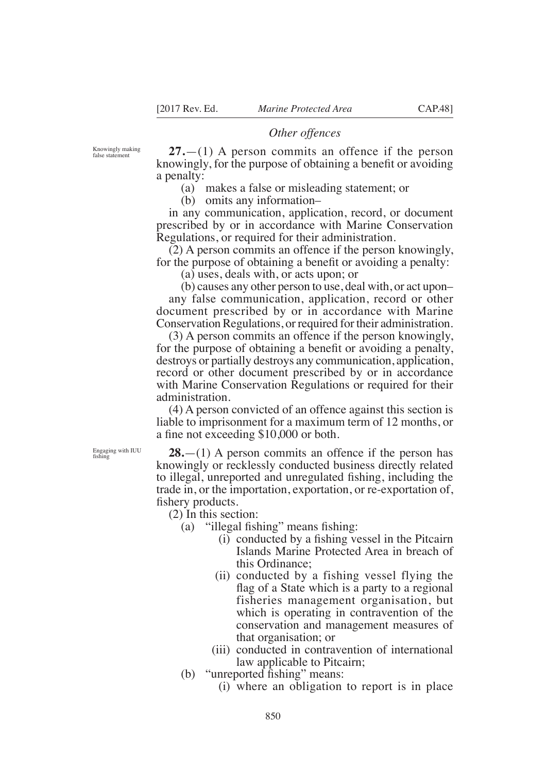# *Other offences*

Knowingly making false statement

**27.**—(1) A person commits an offence if the person knowingly, for the purpose of obtaining a benefit or avoiding a penalty:

(a) makes a false or misleading statement; or

(b) omits any information–

in any communication, application, record, or document prescribed by or in accordance with Marine Conservation Regulations, or required for their administration.

(2) A person commits an offence if the person knowingly, for the purpose of obtaining a benefit or avoiding a penalty:

(a) uses, deals with, or acts upon; or

(b) causes any other person to use, deal with, or act upon– any false communication, application, record or other document prescribed by or in accordance with Marine Conservation Regulations, or required for their administration.

(3) A person commits an offence if the person knowingly, for the purpose of obtaining a benefit or avoiding a penalty, destroys or partially destroys any communication, application, record or other document prescribed by or in accordance with Marine Conservation Regulations or required for their administration.

(4) A person convicted of an offence against this section is liable to imprisonment for a maximum term of 12 months, or a fine not exceeding \$10,000 or both.

**28.**—(1) A person commits an offence if the person has knowingly or recklessly conducted business directly related to illegal, unreported and unregulated fishing, including the trade in, or the importation, exportation, or re-exportation of, fishery products.

(2) In this section:

(a)  $\lq$ illegal fishing" means fishing:

- $(i)$  conducted by a fishing vessel in the Pitcairn Islands Marine Protected Area in breach of this Ordinance;
- (ii) conducted by a fishing vessel flying the flag of a State which is a party to a regional fisheries management organisation, but which is operating in contravention of the conservation and management measures of that organisation; or
- (iii) conducted in contravention of international law applicable to Pitcairn;

(b)  $\degree$  interported fishing" means:

(i) where an obligation to report is in place

Engaging with IUU<br>fishing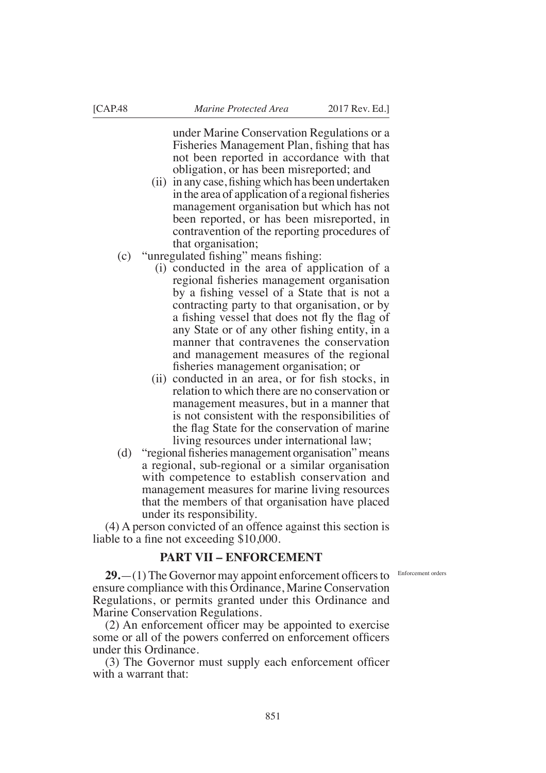under Marine Conservation Regulations or a Fisheries Management Plan, fishing that has not been reported in accordance with that obligation, or has been misreported; and

- $(ii)$  in any case, fishing which has been undertaken in the area of application of a regional fisheries management organisation but which has not been reported, or has been misreported, in contravention of the reporting procedures of that organisation;
- $(c)$  "unregulated fishing" means fishing:
	- (i) conducted in the area of application of a regional fisheries management organisation by a fishing vessel of a State that is not a contracting party to that organisation, or by a fishing vessel that does not fly the flag of any State or of any other fishing entity, in a manner that contravenes the conservation and management measures of the regional fisheries management organisation; or
	- $(ii)$  conducted in an area, or for fish stocks, in relation to which there are no conservation or management measures, but in a manner that is not consistent with the responsibilities of the flag State for the conservation of marine living resources under international law;
- (d) "regional fisheries management organisation" means a regional, sub-regional or a similar organisation with competence to establish conservation and management measures for marine living resources that the members of that organisation have placed under its responsibility.

(4) A person convicted of an offence against this section is liable to a fine not exceeding  $$10,000$ .

# **PART VII – ENFORCEMENT**

Enforcement orders

**29.**—(1) The Governor may appoint enforcement officers to ensure compliance with this Ordinance, Marine Conservation Regulations, or permits granted under this Ordinance and Marine Conservation Regulations.

 $(2)$  An enforcement officer may be appointed to exercise some or all of the powers conferred on enforcement officers under this Ordinance.

 $(3)$  The Governor must supply each enforcement officer with a warrant that: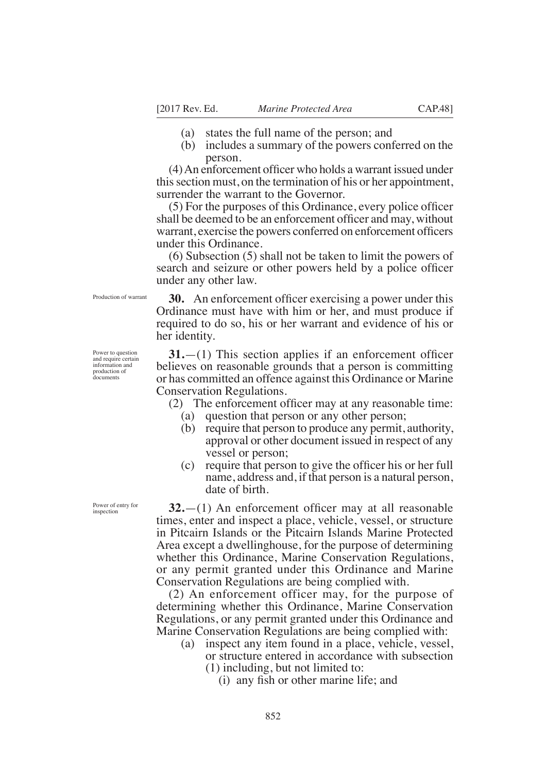- (a) states the full name of the person; and
- (b) includes a summary of the powers conferred on the person.

 $(4)$  An enforcement officer who holds a warrant issued under this section must, on the termination of his or her appointment, surrender the warrant to the Governor.

 $(5)$  For the purposes of this Ordinance, every police officer shall be deemed to be an enforcement officer and may, without warrant, exercise the powers conferred on enforcement officers under this Ordinance.

(6) Subsection (5) shall not be taken to limit the powers of search and seizure or other powers held by a police officer under any other law.

Production of warrant

**30.** An enforcement officer exercising a power under this Ordinance must have with him or her, and must produce if required to do so, his or her warrant and evidence of his or her identity.

 $31$ . $-(1)$  This section applies if an enforcement officer believes on reasonable grounds that a person is committing or has committed an offence against this Ordinance or Marine Conservation Regulations.

(2) The enforcement officer may at any reasonable time:

- (a) question that person or any other person;
- (b) require that person to produce any permit, authority, approval or other document issued in respect of any vessel or person;
- $(c)$  require that person to give the officer his or her full name, address and, if that person is a natural person, date of birth.

 $32$ . $-(1)$  An enforcement officer may at all reasonable times, enter and inspect a place, vehicle, vessel, or structure in Pitcairn Islands or the Pitcairn Islands Marine Protected Area except a dwellinghouse, for the purpose of determining whether this Ordinance, Marine Conservation Regulations, or any permit granted under this Ordinance and Marine Conservation Regulations are being complied with.

(2) An enforcement officer may, for the purpose of determining whether this Ordinance, Marine Conservation Regulations, or any permit granted under this Ordinance and Marine Conservation Regulations are being complied with:

- (a) inspect any item found in a place, vehicle, vessel, or structure entered in accordance with subsection
	- (1) including, but not limited to:
		- $(i)$  any fish or other marine life; and

Power to question and require certain information and production of documents

Power of entry for inspection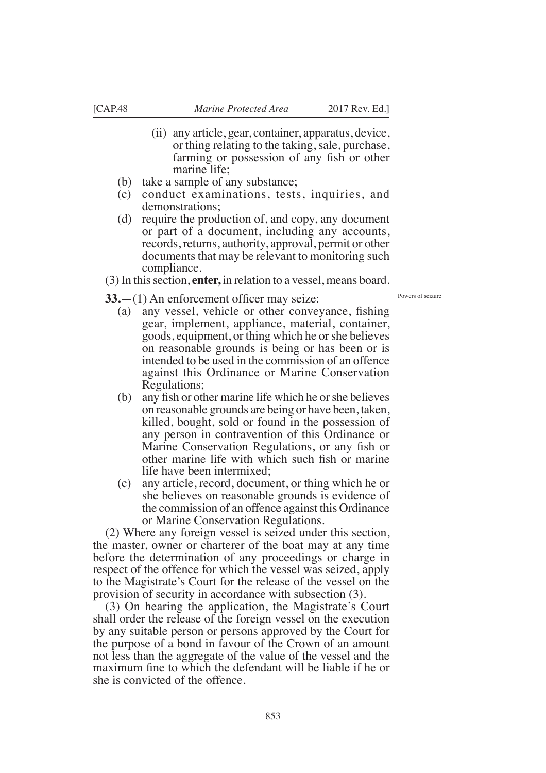- (ii) any article, gear, container, apparatus, device, or thing relating to the taking, sale, purchase, farming or possession of any fish or other marine life;
- (b) take a sample of any substance;

 $33.$ — $(1)$  An enforcement officer may seize:

- (c) conduct examinations, tests, inquiries, and demonstrations;
- (d) require the production of, and copy, any document or part of a document, including any accounts, records, returns, authority, approval, permit or other documents that may be relevant to monitoring such compliance.

(3) In this section, **enter,** in relation to a vessel, means board.

Powers of seizure

- (a) any vessel, vehicle or other conveyance, fishing gear, implement, appliance, material, container, goods, equipment, or thing which he or she believes on reasonable grounds is being or has been or is intended to be used in the commission of an offence against this Ordinance or Marine Conservation Regulations;
- (b) any fish or other marine life which he or she believes on reasonable grounds are being or have been, taken, killed, bought, sold or found in the possession of any person in contravention of this Ordinance or Marine Conservation Regulations, or any fish or other marine life with which such fish or marine life have been intermixed;
- (c) any article, record, document, or thing which he or she believes on reasonable grounds is evidence of the commission of an offence against this Ordinance or Marine Conservation Regulations.

(2) Where any foreign vessel is seized under this section, the master, owner or charterer of the boat may at any time before the determination of any proceedings or charge in respect of the offence for which the vessel was seized, apply to the Magistrate's Court for the release of the vessel on the provision of security in accordance with subsection (3).

(3) On hearing the application, the Magistrate's Court shall order the release of the foreign vessel on the execution by any suitable person or persons approved by the Court for the purpose of a bond in favour of the Crown of an amount not less than the aggregate of the value of the vessel and the maximum fine to which the defendant will be liable if he or she is convicted of the offence.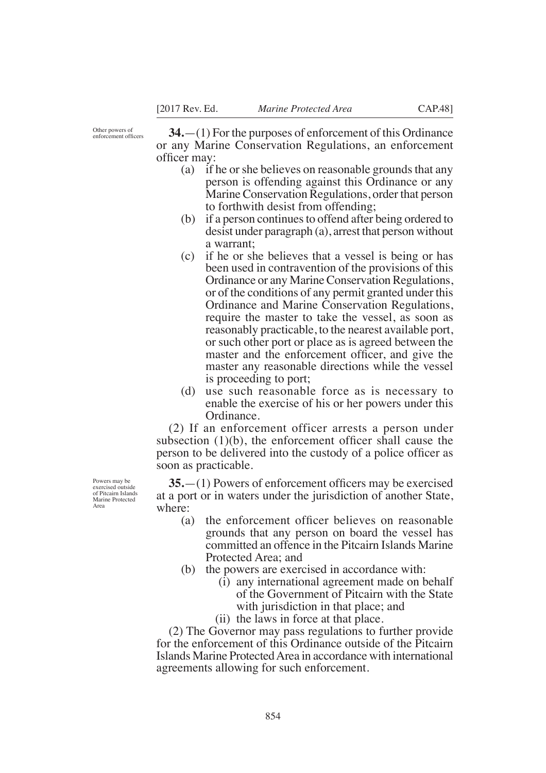Other powers of<br>enforcement officers

**34.**—(1) For the purposes of enforcement of this Ordinance or any Marine Conservation Regulations, an enforcement officer may:

- (a) if he or she believes on reasonable grounds that any person is offending against this Ordinance or any Marine Conservation Regulations, order that person to forthwith desist from offending;
- (b) if a person continues to offend after being ordered to desist under paragraph (a), arrest that person without a warrant;
- (c) if he or she believes that a vessel is being or has been used in contravention of the provisions of this Ordinance or any Marine Conservation Regulations, or of the conditions of any permit granted under this Ordinance and Marine Conservation Regulations, require the master to take the vessel, as soon as reasonably practicable, to the nearest available port, or such other port or place as is agreed between the master and the enforcement officer, and give the master any reasonable directions while the vessel is proceeding to port;
- (d) use such reasonable force as is necessary to enable the exercise of his or her powers under this Ordinance.

(2) If an enforcement officer arrests a person under subsection  $(1)(b)$ , the enforcement officer shall cause the person to be delivered into the custody of a police officer as soon as practicable.

**35.**—(1) Powers of enforcement officers may be exercised at a port or in waters under the jurisdiction of another State, where:

- (a) the enforcement officer believes on reasonable grounds that any person on board the vessel has committed an offence in the Pitcairn Islands Marine Protected Area; and
- (b) the powers are exercised in accordance with:
	- (i) any international agreement made on behalf of the Government of Pitcairn with the State with jurisdiction in that place; and
	- (ii) the laws in force at that place.

(2) The Governor may pass regulations to further provide for the enforcement of this Ordinance outside of the Pitcairn Islands Marine Protected Area in accordance with international agreements allowing for such enforcement.

Powers may be exercised outside of Pitcairn Islands Marine Protected Area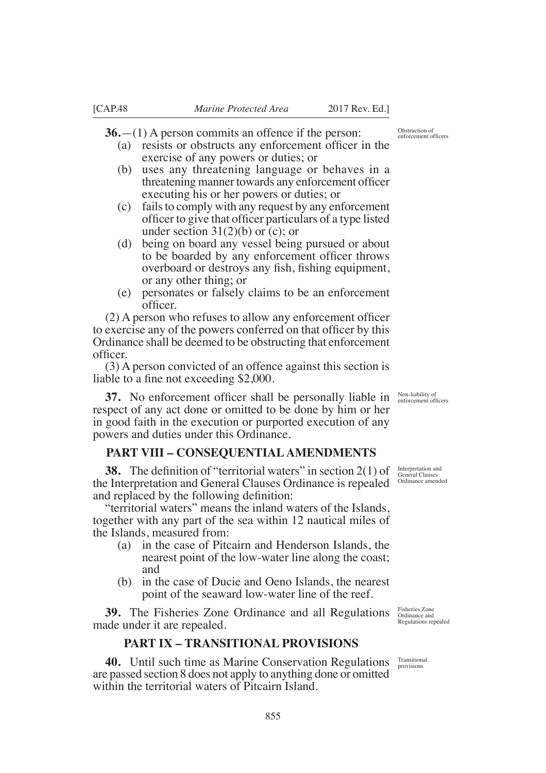**36.**—(1) A person commits an offence if the person:

- (a) resists or obstructs any enforcement officer in the exercise of any powers or duties; or
- (b) uses any threatening language or behaves in a threatening manner towards any enforcement officer executing his or her powers or duties; or
- (c) fails to comply with any request by any enforcement officer to give that officer particulars of a type listed under section  $31(2)(b)$  or (c); or
- (d) being on board any vessel being pursued or about to be boarded by any enforcement officer throws overboard or destroys any fish, fishing equipment, or any other thing; or
- (e) personates or falsely claims to be an enforcement officer.

 $(2)$  A person who refuses to allow any enforcement officer to exercise any of the powers conferred on that officer by this Ordinance shall be deemed to be obstructing that enforcement officer.

(3) A person convicted of an offence against this section is liable to a fine not exceeding  $$2,000$ .

**37.** No enforcement officer shall be personally liable in respect of any act done or omitted to be done by him or her in good faith in the execution or purported execution of any powers and duties under this Ordinance.

# **PART VIII – CONSEQUENTIAL AMENDMENTS**

**38.** The definition of "territorial waters" in section  $2(1)$  of the Interpretation and General Clauses Ordinance is repealed and replaced by the following definition:

"territorial waters" means the inland waters of the Islands, together with any part of the sea within 12 nautical miles of the Islands, measured from:

- (a) in the case of Pitcairn and Henderson Islands, the nearest point of the low-water line along the coast; and
- (b) in the case of Ducie and Oeno Islands, the nearest point of the seaward low-water line of the reef.

**39.** The Fisheries Zone Ordinance and all Regulations made under it are repealed.

# **PART IX – TRANSITIONAL PROVISIONS**

40. Until such time as Marine Conservation Regulations Transitional provisions are passed section 8 does not apply to anything done or omitted within the territorial waters of Pitcairn Island.

Non-liability of<br>enforcement officers

Interpretation and General Clauses Ordinance amended

Fisheries Zone Ordinance and Regulations repealed

provisions

Obstruction of enforcement officers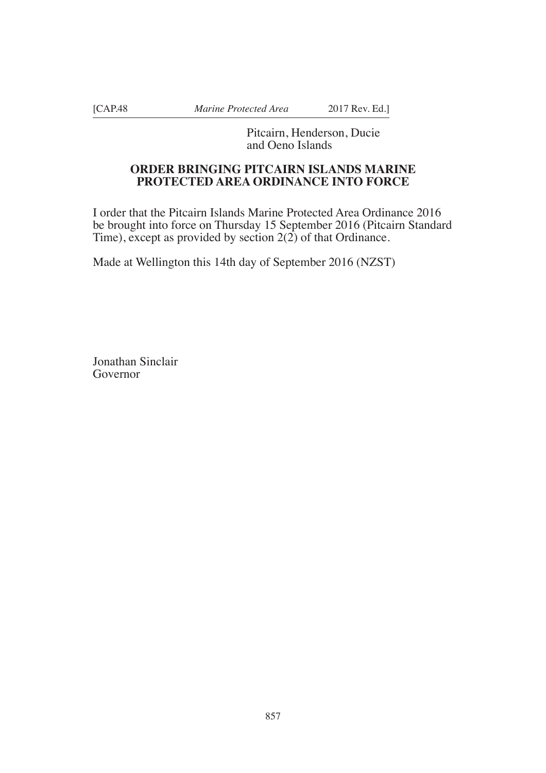[CAP.48 *Marine Protected Area* 2017 Rev. Ed.]

Pitcairn, Henderson, Ducie and Oeno Islands

# **ORDER BRINGING PITCAIRN ISLANDS MARINE PROTECTED AREA ORDINANCE INTO FORCE**

I order that the Pitcairn Islands Marine Protected Area Ordinance 2016 be brought into force on Thursday 15 September 2016 (Pitcairn Standard Time), except as provided by section  $2(2)$  of that Ordinance.

Made at Wellington this 14th day of September 2016 (NZST)

Jonathan Sinclair Governor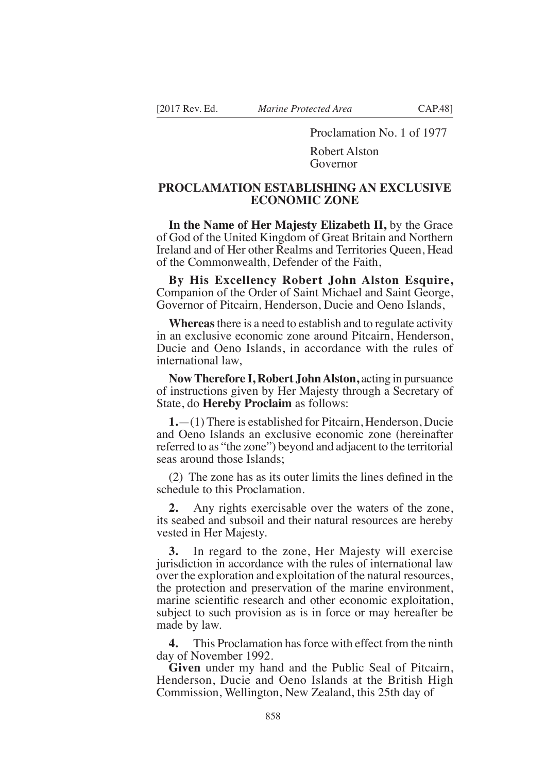Proclamation No. 1 of 1977 Robert Alston

Governor

# **PROCLAMATION ESTABLISHING AN EXCLUSIVE ECONOMIC ZONE**

**In the Name of Her Majesty Elizabeth II,** by the Grace of God of the United Kingdom of Great Britain and Northern Ireland and of Her other Realms and Territories Queen, Head of the Commonwealth, Defender of the Faith,

**By His Excellency Robert John Alston Esquire,**  Companion of the Order of Saint Michael and Saint George, Governor of Pitcairn, Henderson, Ducie and Oeno Islands,

**Whereas** there is a need to establish and to regulate activity in an exclusive economic zone around Pitcairn, Henderson, Ducie and Oeno Islands, in accordance with the rules of international law,

**Now Therefore I, Robert John Alston,** acting in pursuance of instructions given by Her Majesty through a Secretary of State, do **Hereby Proclaim** as follows:

**1.**—(1) There is established for Pitcairn, Henderson, Ducie and Oeno Islands an exclusive economic zone (hereinafter referred to as "the zone") beyond and adjacent to the territorial seas around those Islands;

 $(2)$  The zone has as its outer limits the lines defined in the schedule to this Proclamation.

**2.** Any rights exercisable over the waters of the zone, its seabed and subsoil and their natural resources are hereby vested in Her Majesty.

**3.** In regard to the zone, Her Majesty will exercise jurisdiction in accordance with the rules of international law over the exploration and exploitation of the natural resources, the protection and preservation of the marine environment, marine scientific research and other economic exploitation, subject to such provision as is in force or may hereafter be made by law.

**4.** This Proclamation has force with effect from the ninth day of November 1992.

**Given** under my hand and the Public Seal of Pitcairn, Henderson, Ducie and Oeno Islands at the British High Commission, Wellington, New Zealand, this 25th day of